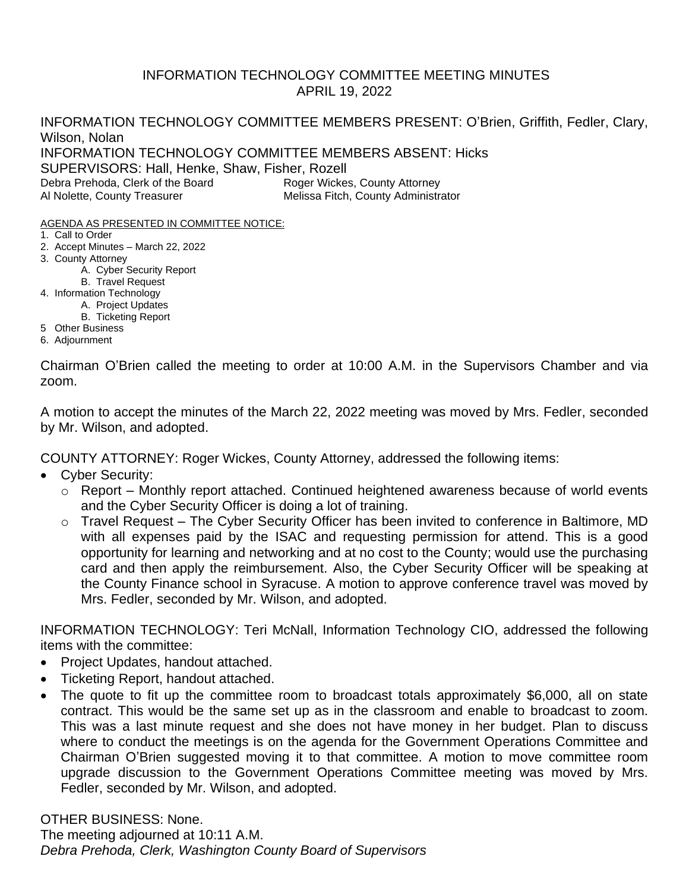## INFORMATION TECHNOLOGY COMMITTEE MEETING MINUTES APRIL 19, 2022

INFORMATION TECHNOLOGY COMMITTEE MEMBERS PRESENT: O'Brien, Griffith, Fedler, Clary, Wilson, Nolan INFORMATION TECHNOLOGY COMMITTEE MEMBERS ABSENT: Hicks SUPERVISORS: Hall, Henke, Shaw, Fisher, Rozell Debra Prehoda, Clerk of the Board Roger Wickes, County Attorney Al Nolette, County Treasurer **Melissa Fitch, County Administrator** Melissa Fitch, County Administrator

- AGENDA AS PRESENTED IN COMMITTEE NOTICE:
- 1. Call to Order
- 2. Accept Minutes March 22, 2022
- 3. County Attorney
	- A. Cyber Security Report
	- B. Travel Request
- 4. Information Technology
	- A. Project Updates
	- B. Ticketing Report
- 5 Other Business 6. Adjournment

Chairman O'Brien called the meeting to order at 10:00 A.M. in the Supervisors Chamber and via zoom.

A motion to accept the minutes of the March 22, 2022 meeting was moved by Mrs. Fedler, seconded by Mr. Wilson, and adopted.

COUNTY ATTORNEY: Roger Wickes, County Attorney, addressed the following items:

- Cyber Security:
	- $\circ$  Report Monthly report attached. Continued heightened awareness because of world events and the Cyber Security Officer is doing a lot of training.
	- o Travel Request The Cyber Security Officer has been invited to conference in Baltimore, MD with all expenses paid by the ISAC and requesting permission for attend. This is a good opportunity for learning and networking and at no cost to the County; would use the purchasing card and then apply the reimbursement. Also, the Cyber Security Officer will be speaking at the County Finance school in Syracuse. A motion to approve conference travel was moved by Mrs. Fedler, seconded by Mr. Wilson, and adopted.

INFORMATION TECHNOLOGY: Teri McNall, Information Technology CIO, addressed the following items with the committee:

- Project Updates, handout attached.
- Ticketing Report, handout attached.
- The quote to fit up the committee room to broadcast totals approximately \$6,000, all on state contract. This would be the same set up as in the classroom and enable to broadcast to zoom. This was a last minute request and she does not have money in her budget. Plan to discuss where to conduct the meetings is on the agenda for the Government Operations Committee and Chairman O'Brien suggested moving it to that committee. A motion to move committee room upgrade discussion to the Government Operations Committee meeting was moved by Mrs. Fedler, seconded by Mr. Wilson, and adopted.

OTHER BUSINESS: None. The meeting adjourned at 10:11 A.M. *Debra Prehoda, Clerk, Washington County Board of Supervisors*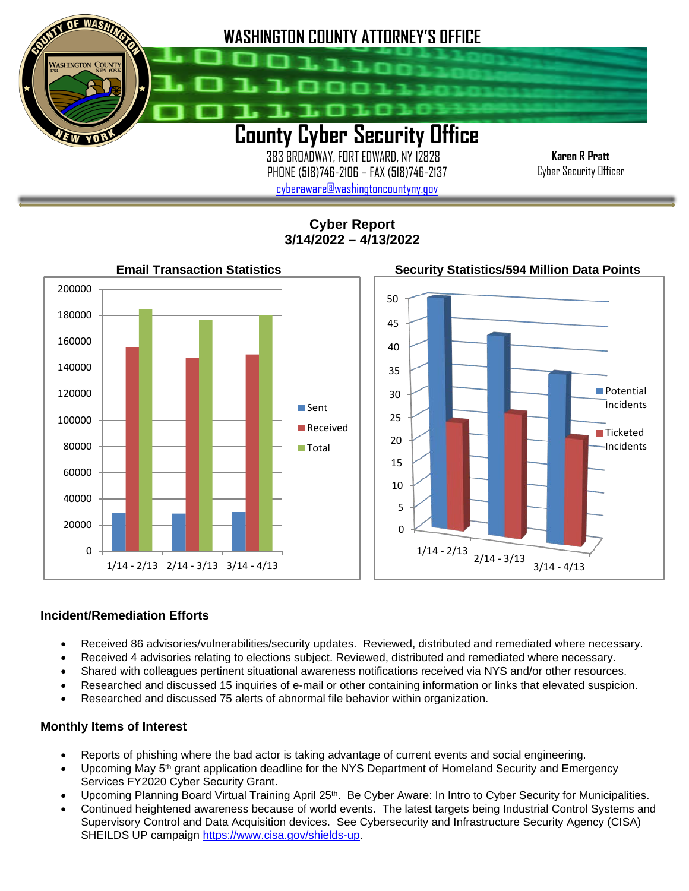

 383 BROADWAY, FORT EDWARD, NY 12828 PHONE (518)746-2106 – FAX (518)746-2137 [cyberaware@washingtoncountyny.gov](mailto:cyberaware@washingtoncountyny.gov)

**Karen R Pratt** Cyber Security Officer

**Cyber Report 3/14/2022 – 4/13/2022**



## **Incident/Remediation Efforts**

İ

- Received 86 advisories/vulnerabilities/security updates. Reviewed, distributed and remediated where necessary.
- Received 4 advisories relating to elections subject. Reviewed, distributed and remediated where necessary.
- Shared with colleagues pertinent situational awareness notifications received via NYS and/or other resources.
- Researched and discussed 15 inquiries of e-mail or other containing information or links that elevated suspicion.
- Researched and discussed 75 alerts of abnormal file behavior within organization.

## **Monthly Items of Interest**

- Reports of phishing where the bad actor is taking advantage of current events and social engineering.
- Upcoming May 5<sup>th</sup> grant application deadline for the NYS Department of Homeland Security and Emergency Services FY2020 Cyber Security Grant.
- Upcoming Planning Board Virtual Training April 25th. Be Cyber Aware: In Intro to Cyber Security for Municipalities.
- Continued heightened awareness because of world events. The latest targets being Industrial Control Systems and Supervisory Control and Data Acquisition devices. See Cybersecurity and Infrastructure Security Agency (CISA) SHEILDS UP campaign [https://www.cisa.gov/shields-up.](https://www.cisa.gov/shields-upH)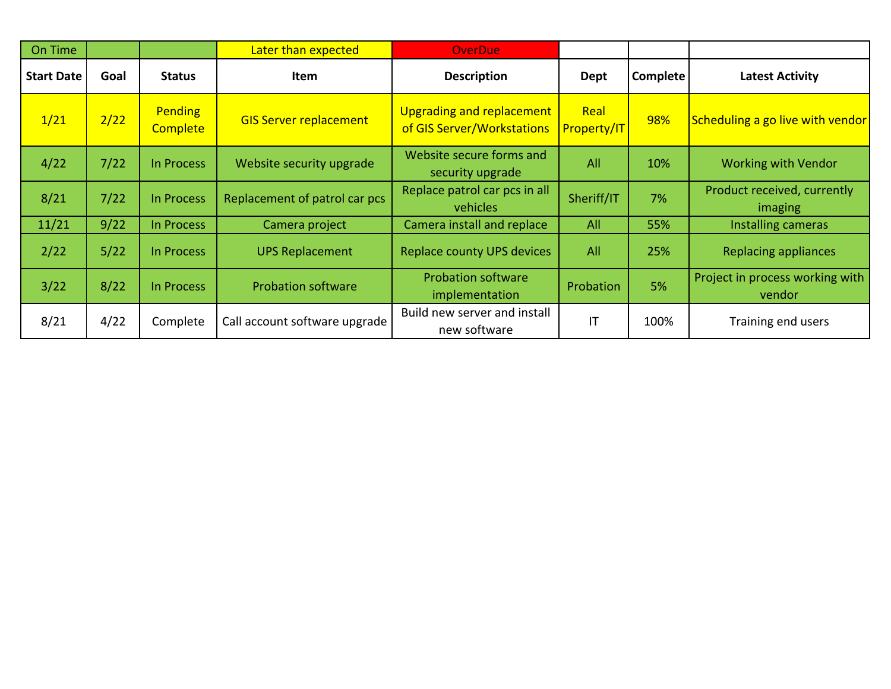| On Time           |      |                                   | Later than expected           | <b>OverDue</b>                                          |                            |                 |                                           |
|-------------------|------|-----------------------------------|-------------------------------|---------------------------------------------------------|----------------------------|-----------------|-------------------------------------------|
| <b>Start Date</b> | Goal | <b>Status</b>                     | Item                          | <b>Description</b>                                      | Dept                       | <b>Complete</b> | <b>Latest Activity</b>                    |
| 1/21              | 2/22 | <b>Pending</b><br><b>Complete</b> | <b>GIS Server replacement</b> | Upgrading and replacement<br>of GIS Server/Workstations | Real<br><b>Property/IT</b> | 98%             | Scheduling a go live with vendor          |
| 4/22              | 7/22 | In Process                        | Website security upgrade      | Website secure forms and<br>security upgrade            | All                        | 10%             | <b>Working with Vendor</b>                |
| 8/21              | 7/22 | In Process                        | Replacement of patrol car pcs | Replace patrol car pcs in all<br>vehicles               | Sheriff/IT                 | 7%              | Product received, currently<br>imaging    |
| 11/21             | 9/22 | In Process                        | Camera project                | Camera install and replace                              | All                        | 55%             | Installing cameras                        |
| 2/22              | 5/22 | In Process                        | <b>UPS Replacement</b>        | <b>Replace county UPS devices</b>                       | All                        | 25%             | <b>Replacing appliances</b>               |
| 3/22              | 8/22 | In Process                        | <b>Probation software</b>     | <b>Probation software</b><br>implementation             | Probation                  | 5%              | Project in process working with<br>vendor |
| 8/21              | 4/22 | Complete                          | Call account software upgrade | Build new server and install<br>new software            | IT                         | 100%            | Training end users                        |